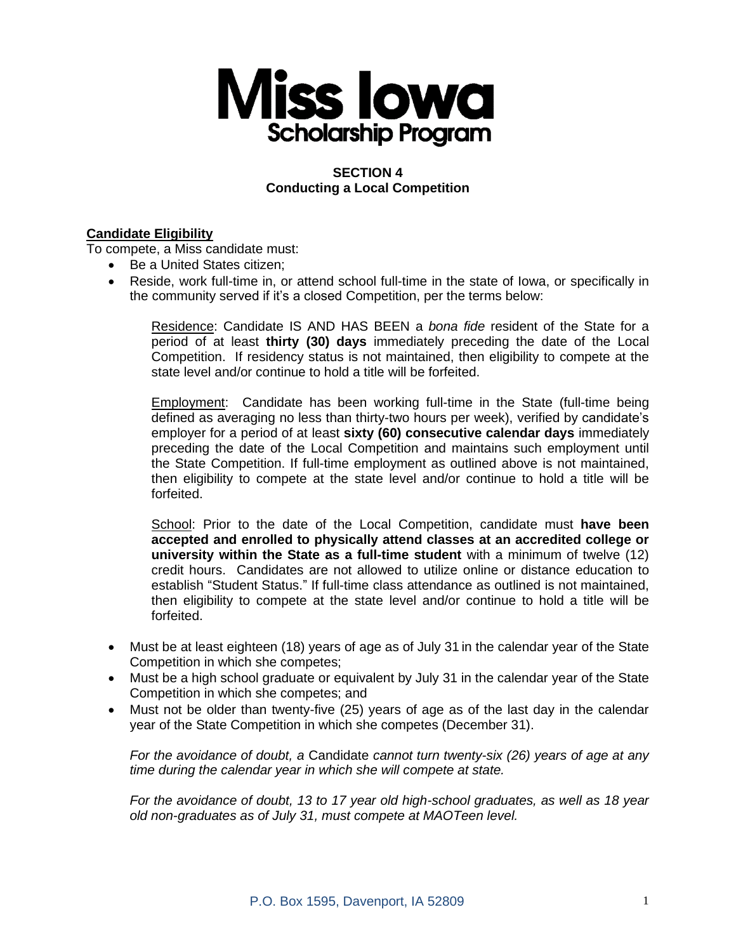

# **SECTION 4 Conducting a Local Competition**

# **Candidate Eligibility**

To compete, a Miss candidate must:

- Be a United States citizen;
- Reside, work full-time in, or attend school full-time in the state of Iowa, or specifically in the community served if it's a closed Competition, per the terms below:

Residence: Candidate IS AND HAS BEEN a *bona fide* resident of the State for a period of at least **thirty (30) days** immediately preceding the date of the Local Competition. If residency status is not maintained, then eligibility to compete at the state level and/or continue to hold a title will be forfeited.

Employment: Candidate has been working full-time in the State (full-time being defined as averaging no less than thirty-two hours per week), verified by candidate's employer for a period of at least **sixty (60) consecutive calendar days** immediately preceding the date of the Local Competition and maintains such employment until the State Competition. If full-time employment as outlined above is not maintained, then eligibility to compete at the state level and/or continue to hold a title will be forfeited.

School: Prior to the date of the Local Competition, candidate must **have been accepted and enrolled to physically attend classes at an accredited college or university within the State as a full-time student** with a minimum of twelve (12) credit hours. Candidates are not allowed to utilize online or distance education to establish "Student Status." If full-time class attendance as outlined is not maintained, then eligibility to compete at the state level and/or continue to hold a title will be forfeited.

- Must be at least eighteen (18) years of age as of July 31 in the calendar year of the State Competition in which she competes;
- Must be a high school graduate or equivalent by July 31 in the calendar year of the State Competition in which she competes; and
- Must not be older than twenty-five (25) years of age as of the last day in the calendar year of the State Competition in which she competes (December 31).

*For the avoidance of doubt, a* Candidate *cannot turn twenty-six (26) years of age at any time during the calendar year in which she will compete at state.*

*For the avoidance of doubt, 13 to 17 year old high-school graduates, as well as 18 year old non-graduates as of July 31, must compete at MAOTeen level.*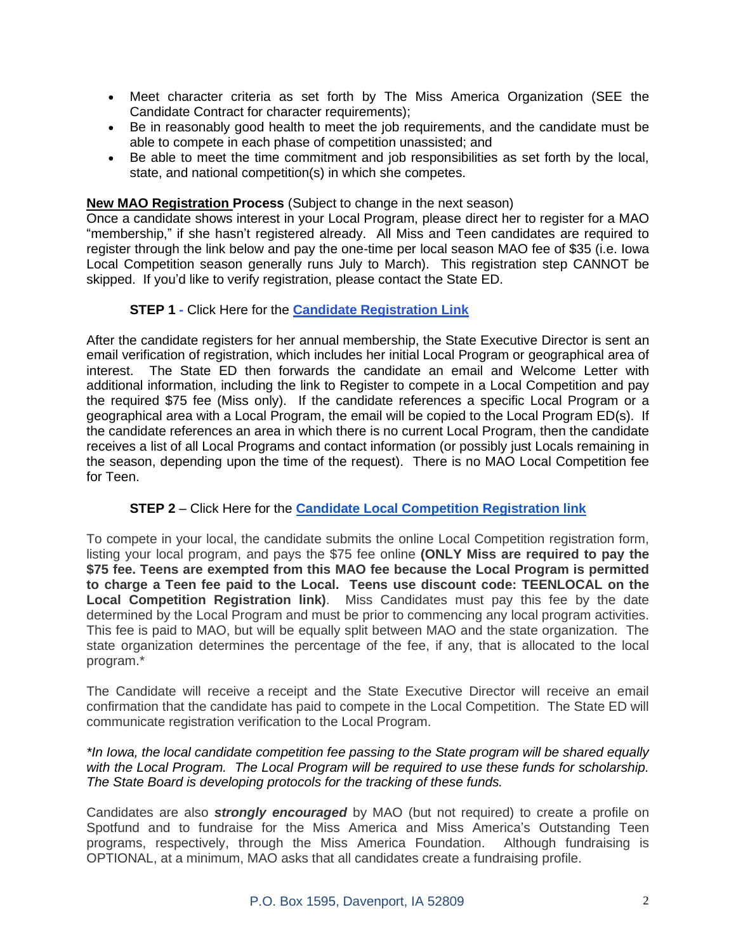- Meet character criteria as set forth by The Miss America Organization (SEE the Candidate Contract for character requirements);
- Be in reasonably good health to meet the job requirements, and the candidate must be able to compete in each phase of competition unassisted; and
- Be able to meet the time commitment and job responsibilities as set forth by the local, state, and national competition(s) in which she competes.

## **New MAO Registration Process** (Subject to change in the next season)

Once a candidate shows interest in your Local Program, please direct her to register for a MAO "membership," if she hasn't registered already. All Miss and Teen candidates are required to register through the link below and pay the one-time per local season MAO fee of \$35 (i.e. Iowa Local Competition season generally runs July to March). This registration step CANNOT be skipped. If you'd like to verify registration, please contact the State ED.

## **STEP 1 -** Click Here for the **[Candidate Registration Link](https://t.e2ma.net/click/3holae/fb3dlab/boizcm)**

After the candidate registers for her annual membership, the State Executive Director is sent an email verification of registration, which includes her initial Local Program or geographical area of interest. The State ED then forwards the candidate an email and Welcome Letter with additional information, including the link to Register to compete in a Local Competition and pay the required \$75 fee (Miss only). If the candidate references a specific Local Program or a geographical area with a Local Program, the email will be copied to the Local Program ED(s). If the candidate references an area in which there is no current Local Program, then the candidate receives a list of all Local Programs and contact information (or possibly just Locals remaining in the season, depending upon the time of the request). There is no MAO Local Competition fee for Teen.

# **STEP 2** – Click Here for the **[Candidate Local Competition Registration link](https://t.e2ma.net/click/3holae/fb3dlab/n1kzcm)**

To compete in your local, the candidate submits the online Local Competition registration form, listing your local program, and pays the \$75 fee online **(ONLY Miss are required to pay the \$75 fee. Teens are exempted from this MAO fee because the Local Program is permitted to charge a Teen fee paid to the Local. Teens use discount code: TEENLOCAL on the Local Competition Registration link)**. Miss Candidates must pay this fee by the date determined by the Local Program and must be prior to commencing any local program activities. This fee is paid to MAO, but will be equally split between MAO and the state organization. The state organization determines the percentage of the fee, if any, that is allocated to the local program.\*

The Candidate will receive a receipt and the State Executive Director will receive an email confirmation that the candidate has paid to compete in the Local Competition. The State ED will communicate registration verification to the Local Program.

## *\*In Iowa, the local candidate competition fee passing to the State program will be shared equally with the Local Program. The Local Program will be required to use these funds for scholarship. The State Board is developing protocols for the tracking of these funds.*

Candidates are also *strongly encouraged* by MAO (but not required) to create a profile on Spotfund and to fundraise for the Miss America and Miss America's Outstanding Teen programs, respectively, through the Miss America Foundation. Although fundraising is OPTIONAL, at a minimum, MAO asks that all candidates create a fundraising profile.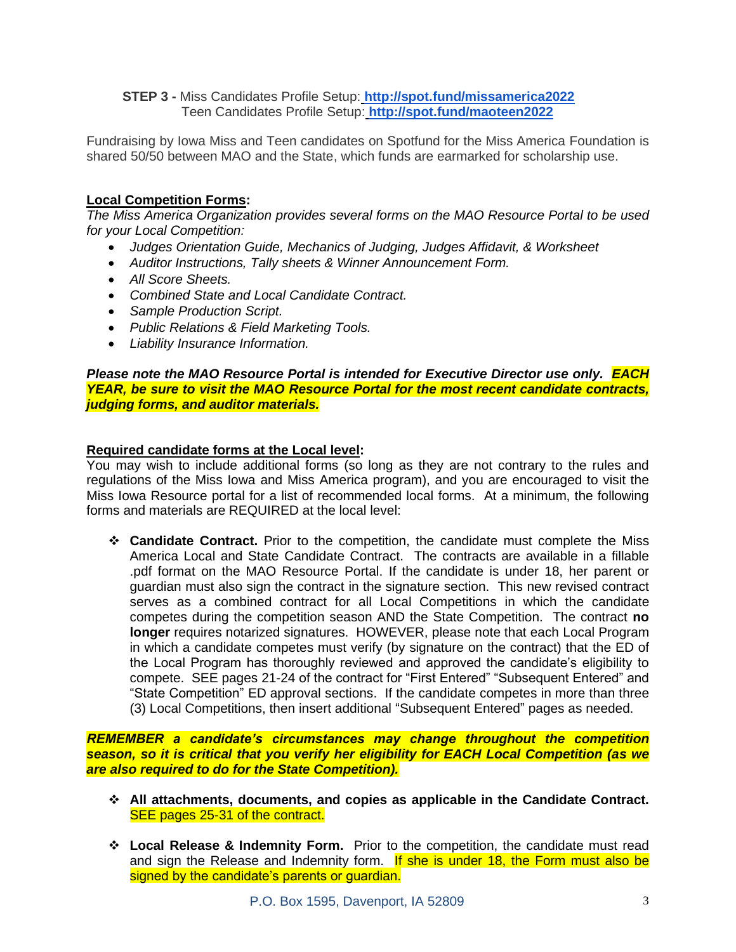**STEP 3 -** Miss Candidates Profile Setup: **[http://spot.fund/missamerica2022](https://t.e2ma.net/click/3holae/fb3dlab/3tlzcm)** Teen Candidates Profile Setup: **[http://spot.fund/maoteen2022](https://t.e2ma.net/click/3holae/fb3dlab/jmmzcm)**

Fundraising by Iowa Miss and Teen candidates on Spotfund for the Miss America Foundation is shared 50/50 between MAO and the State, which funds are earmarked for scholarship use.

## **Local Competition Forms:**

*The Miss America Organization provides several forms on the MAO Resource Portal to be used for your Local Competition:*

- *Judges Orientation Guide, Mechanics of Judging, Judges Affidavit, & Worksheet*
- *Auditor Instructions, Tally sheets & Winner Announcement Form.*
- *All Score Sheets.*
- *Combined State and Local Candidate Contract.*
- *Sample Production Script.*
- *Public Relations & Field Marketing Tools.*
- *Liability Insurance Information.*

#### *Please note the MAO Resource Portal is intended for Executive Director use only. EACH YEAR, be sure to visit the MAO Resource Portal for the most recent candidate contracts, judging forms, and auditor materials.*

## **Required candidate forms at the Local level:**

You may wish to include additional forms (so long as they are not contrary to the rules and regulations of the Miss Iowa and Miss America program), and you are encouraged to visit the Miss Iowa Resource portal for a list of recommended local forms. At a minimum, the following forms and materials are REQUIRED at the local level:

❖ **Candidate Contract.** Prior to the competition, the candidate must complete the Miss America Local and State Candidate Contract. The contracts are available in a fillable .pdf format on the MAO Resource Portal. If the candidate is under 18, her parent or guardian must also sign the contract in the signature section. This new revised contract serves as a combined contract for all Local Competitions in which the candidate competes during the competition season AND the State Competition. The contract **no longer** requires notarized signatures. HOWEVER, please note that each Local Program in which a candidate competes must verify (by signature on the contract) that the ED of the Local Program has thoroughly reviewed and approved the candidate's eligibility to compete. SEE pages 21-24 of the contract for "First Entered" "Subsequent Entered" and "State Competition" ED approval sections. If the candidate competes in more than three (3) Local Competitions, then insert additional "Subsequent Entered" pages as needed.

*REMEMBER a candidate's circumstances may change throughout the competition season, so it is critical that you verify her eligibility for EACH Local Competition (as we are also required to do for the State Competition).*

- ❖ **All attachments, documents, and copies as applicable in the Candidate Contract.** SEE pages 25-31 of the contract.
- ❖ **Local Release & Indemnity Form.** Prior to the competition, the candidate must read and sign the Release and Indemnity form. If she is under 18, the Form must also be signed by the candidate's parents or guardian.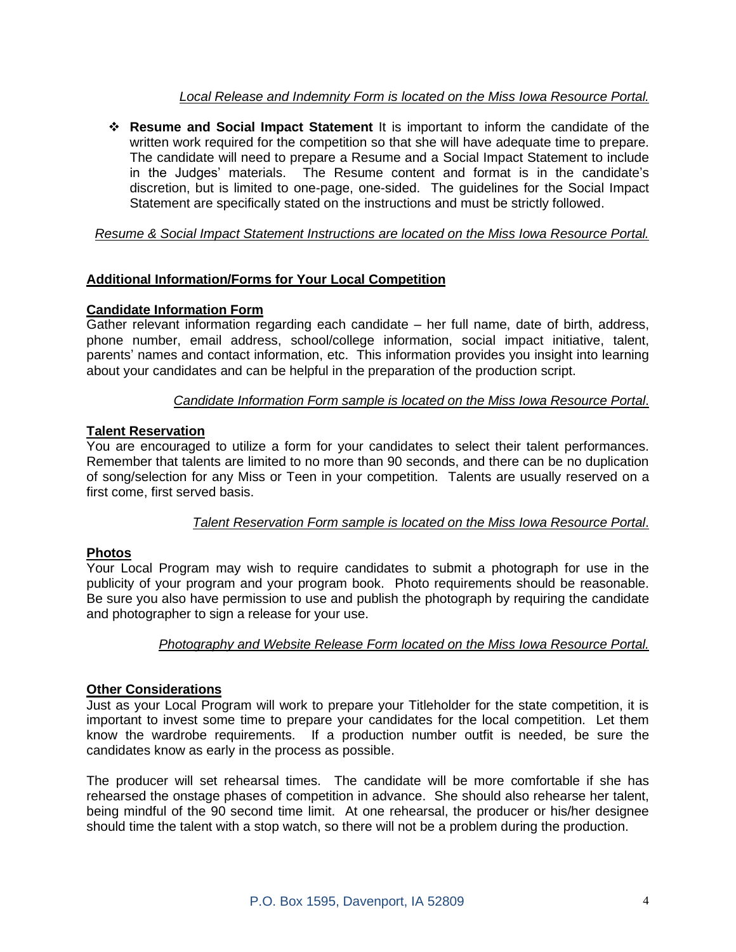# *Local Release and Indemnity Form is located on the Miss Iowa Resource Portal.*

❖ **Resume and Social Impact Statement** It is important to inform the candidate of the written work required for the competition so that she will have adequate time to prepare. The candidate will need to prepare a Resume and a Social Impact Statement to include in the Judges' materials. The Resume content and format is in the candidate's discretion, but is limited to one-page, one-sided. The guidelines for the Social Impact Statement are specifically stated on the instructions and must be strictly followed.

# *Resume & Social Impact Statement Instructions are located on the Miss Iowa Resource Portal.*

# **Additional Information/Forms for Your Local Competition**

# **Candidate Information Form**

Gather relevant information regarding each candidate – her full name, date of birth, address, phone number, email address, school/college information, social impact initiative, talent, parents' names and contact information, etc. This information provides you insight into learning about your candidates and can be helpful in the preparation of the production script.

# *Candidate Information Form sample is located on the Miss Iowa Resource Portal*.

# **Talent Reservation**

You are encouraged to utilize a form for your candidates to select their talent performances. Remember that talents are limited to no more than 90 seconds, and there can be no duplication of song/selection for any Miss or Teen in your competition. Talents are usually reserved on a first come, first served basis.

#### *Talent Reservation Form sample is located on the Miss Iowa Resource Portal*.

# **Photos**

Your Local Program may wish to require candidates to submit a photograph for use in the publicity of your program and your program book. Photo requirements should be reasonable. Be sure you also have permission to use and publish the photograph by requiring the candidate and photographer to sign a release for your use.

# *Photography and Website Release Form located on the Miss Iowa Resource Portal.*

#### **Other Considerations**

Just as your Local Program will work to prepare your Titleholder for the state competition, it is important to invest some time to prepare your candidates for the local competition. Let them know the wardrobe requirements. If a production number outfit is needed, be sure the candidates know as early in the process as possible.

The producer will set rehearsal times. The candidate will be more comfortable if she has rehearsed the onstage phases of competition in advance. She should also rehearse her talent, being mindful of the 90 second time limit. At one rehearsal, the producer or his/her designee should time the talent with a stop watch, so there will not be a problem during the production.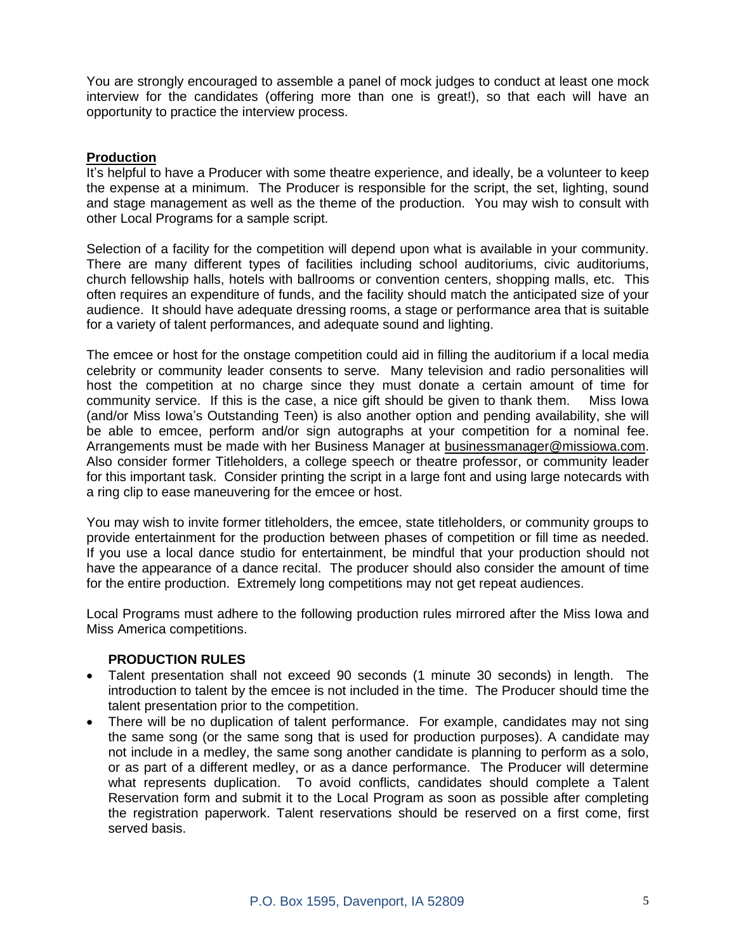You are strongly encouraged to assemble a panel of mock judges to conduct at least one mock interview for the candidates (offering more than one is great!), so that each will have an opportunity to practice the interview process.

## **Production**

It's helpful to have a Producer with some theatre experience, and ideally, be a volunteer to keep the expense at a minimum. The Producer is responsible for the script, the set, lighting, sound and stage management as well as the theme of the production. You may wish to consult with other Local Programs for a sample script.

Selection of a facility for the competition will depend upon what is available in your community. There are many different types of facilities including school auditoriums, civic auditoriums, church fellowship halls, hotels with ballrooms or convention centers, shopping malls, etc. This often requires an expenditure of funds, and the facility should match the anticipated size of your audience. It should have adequate dressing rooms, a stage or performance area that is suitable for a variety of talent performances, and adequate sound and lighting.

The emcee or host for the onstage competition could aid in filling the auditorium if a local media celebrity or community leader consents to serve. Many television and radio personalities will host the competition at no charge since they must donate a certain amount of time for community service. If this is the case, a nice gift should be given to thank them. Miss Iowa (and/or Miss Iowa's Outstanding Teen) is also another option and pending availability, she will be able to emcee, perform and/or sign autographs at your competition for a nominal fee. Arrangements must be made with her Business Manager at businessmanager@missiowa.com. Also consider former Titleholders, a college speech or theatre professor, or community leader for this important task. Consider printing the script in a large font and using large notecards with a ring clip to ease maneuvering for the emcee or host.

You may wish to invite former titleholders, the emcee, state titleholders, or community groups to provide entertainment for the production between phases of competition or fill time as needed. If you use a local dance studio for entertainment, be mindful that your production should not have the appearance of a dance recital. The producer should also consider the amount of time for the entire production. Extremely long competitions may not get repeat audiences.

Local Programs must adhere to the following production rules mirrored after the Miss Iowa and Miss America competitions.

#### **PRODUCTION RULES**

- Talent presentation shall not exceed 90 seconds (1 minute 30 seconds) in length. The introduction to talent by the emcee is not included in the time. The Producer should time the talent presentation prior to the competition.
- There will be no duplication of talent performance. For example, candidates may not sing the same song (or the same song that is used for production purposes). A candidate may not include in a medley, the same song another candidate is planning to perform as a solo, or as part of a different medley, or as a dance performance. The Producer will determine what represents duplication. To avoid conflicts, candidates should complete a Talent Reservation form and submit it to the Local Program as soon as possible after completing the registration paperwork. Talent reservations should be reserved on a first come, first served basis.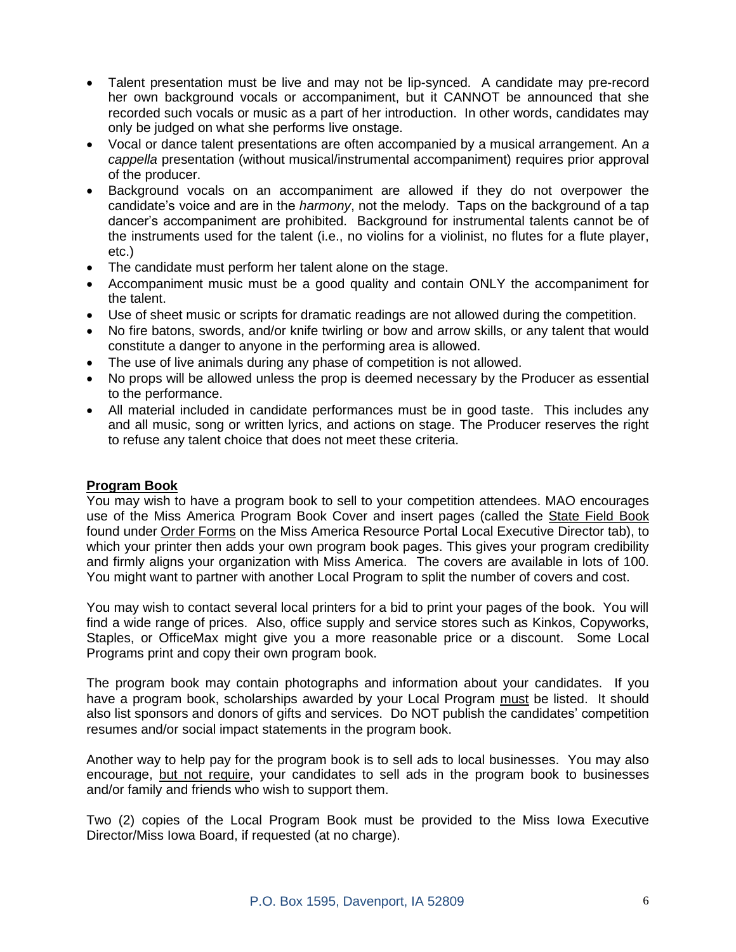- Talent presentation must be live and may not be lip-synced. A candidate may pre-record her own background vocals or accompaniment, but it CANNOT be announced that she recorded such vocals or music as a part of her introduction. In other words, candidates may only be judged on what she performs live onstage.
- Vocal or dance talent presentations are often accompanied by a musical arrangement. An *a cappella* presentation (without musical/instrumental accompaniment) requires prior approval of the producer.
- Background vocals on an accompaniment are allowed if they do not overpower the candidate's voice and are in the *harmony*, not the melody. Taps on the background of a tap dancer's accompaniment are prohibited. Background for instrumental talents cannot be of the instruments used for the talent (i.e., no violins for a violinist, no flutes for a flute player, etc.)
- The candidate must perform her talent alone on the stage.
- Accompaniment music must be a good quality and contain ONLY the accompaniment for the talent.
- Use of sheet music or scripts for dramatic readings are not allowed during the competition.
- No fire batons, swords, and/or knife twirling or bow and arrow skills, or any talent that would constitute a danger to anyone in the performing area is allowed.
- The use of live animals during any phase of competition is not allowed.
- No props will be allowed unless the prop is deemed necessary by the Producer as essential to the performance.
- All material included in candidate performances must be in good taste. This includes any and all music, song or written lyrics, and actions on stage. The Producer reserves the right to refuse any talent choice that does not meet these criteria.

#### **Program Book**

You may wish to have a program book to sell to your competition attendees. MAO encourages use of the Miss America Program Book Cover and insert pages (called the State Field Book found under Order Forms on the Miss America Resource Portal Local Executive Director tab), to which your printer then adds your own program book pages. This gives your program credibility and firmly aligns your organization with Miss America. The covers are available in lots of 100. You might want to partner with another Local Program to split the number of covers and cost.

You may wish to contact several local printers for a bid to print your pages of the book. You will find a wide range of prices. Also, office supply and service stores such as Kinkos, Copyworks, Staples, or OfficeMax might give you a more reasonable price or a discount. Some Local Programs print and copy their own program book.

The program book may contain photographs and information about your candidates. If you have a program book, scholarships awarded by your Local Program must be listed. It should also list sponsors and donors of gifts and services. Do NOT publish the candidates' competition resumes and/or social impact statements in the program book.

Another way to help pay for the program book is to sell ads to local businesses. You may also encourage, but not require, your candidates to sell ads in the program book to businesses and/or family and friends who wish to support them.

Two (2) copies of the Local Program Book must be provided to the Miss Iowa Executive Director/Miss Iowa Board, if requested (at no charge).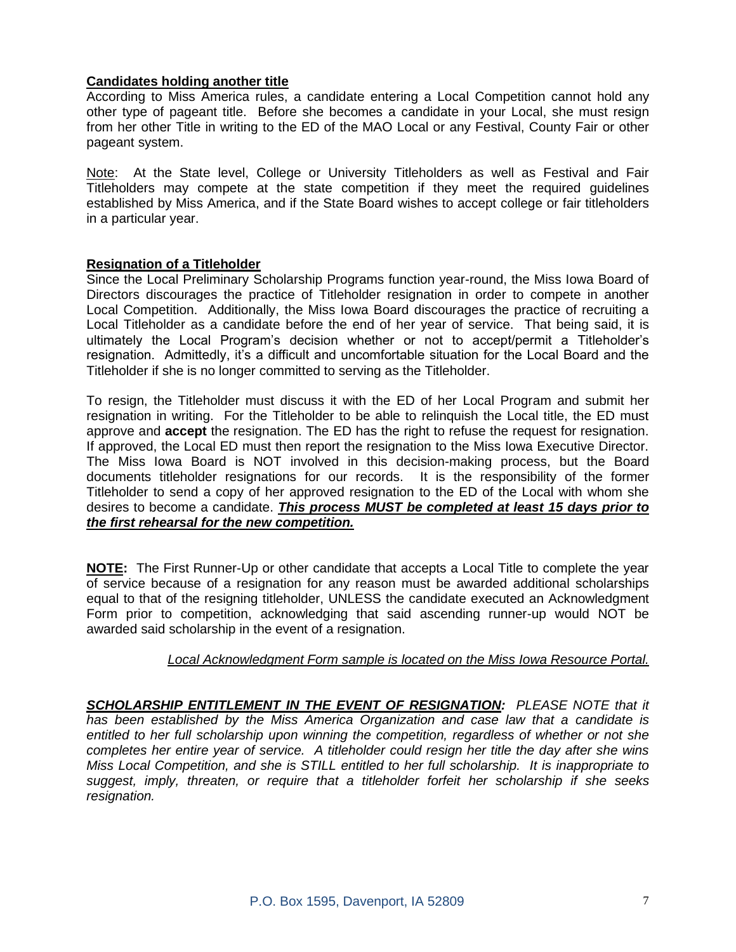## **Candidates holding another title**

According to Miss America rules, a candidate entering a Local Competition cannot hold any other type of pageant title. Before she becomes a candidate in your Local, she must resign from her other Title in writing to the ED of the MAO Local or any Festival, County Fair or other pageant system.

Note: At the State level, College or University Titleholders as well as Festival and Fair Titleholders may compete at the state competition if they meet the required guidelines established by Miss America, and if the State Board wishes to accept college or fair titleholders in a particular year.

#### **Resignation of a Titleholder**

Since the Local Preliminary Scholarship Programs function year-round, the Miss Iowa Board of Directors discourages the practice of Titleholder resignation in order to compete in another Local Competition. Additionally, the Miss Iowa Board discourages the practice of recruiting a Local Titleholder as a candidate before the end of her year of service. That being said, it is ultimately the Local Program's decision whether or not to accept/permit a Titleholder's resignation. Admittedly, it's a difficult and uncomfortable situation for the Local Board and the Titleholder if she is no longer committed to serving as the Titleholder.

To resign, the Titleholder must discuss it with the ED of her Local Program and submit her resignation in writing. For the Titleholder to be able to relinquish the Local title, the ED must approve and **accept** the resignation. The ED has the right to refuse the request for resignation. If approved, the Local ED must then report the resignation to the Miss Iowa Executive Director. The Miss Iowa Board is NOT involved in this decision-making process, but the Board documents titleholder resignations for our records. It is the responsibility of the former Titleholder to send a copy of her approved resignation to the ED of the Local with whom she desires to become a candidate. *This process MUST be completed at least 15 days prior to the first rehearsal for the new competition.*

**NOTE:** The First Runner-Up or other candidate that accepts a Local Title to complete the year of service because of a resignation for any reason must be awarded additional scholarships equal to that of the resigning titleholder, UNLESS the candidate executed an Acknowledgment Form prior to competition, acknowledging that said ascending runner-up would NOT be awarded said scholarship in the event of a resignation.

#### *Local Acknowledgment Form sample is located on the Miss Iowa Resource Portal.*

*SCHOLARSHIP ENTITLEMENT IN THE EVENT OF RESIGNATION: PLEASE NOTE that it has been established by the Miss America Organization and case law that a candidate is entitled to her full scholarship upon winning the competition, regardless of whether or not she completes her entire year of service. A titleholder could resign her title the day after she wins Miss Local Competition, and she is STILL entitled to her full scholarship. It is inappropriate to suggest, imply, threaten, or require that a titleholder forfeit her scholarship if she seeks resignation.*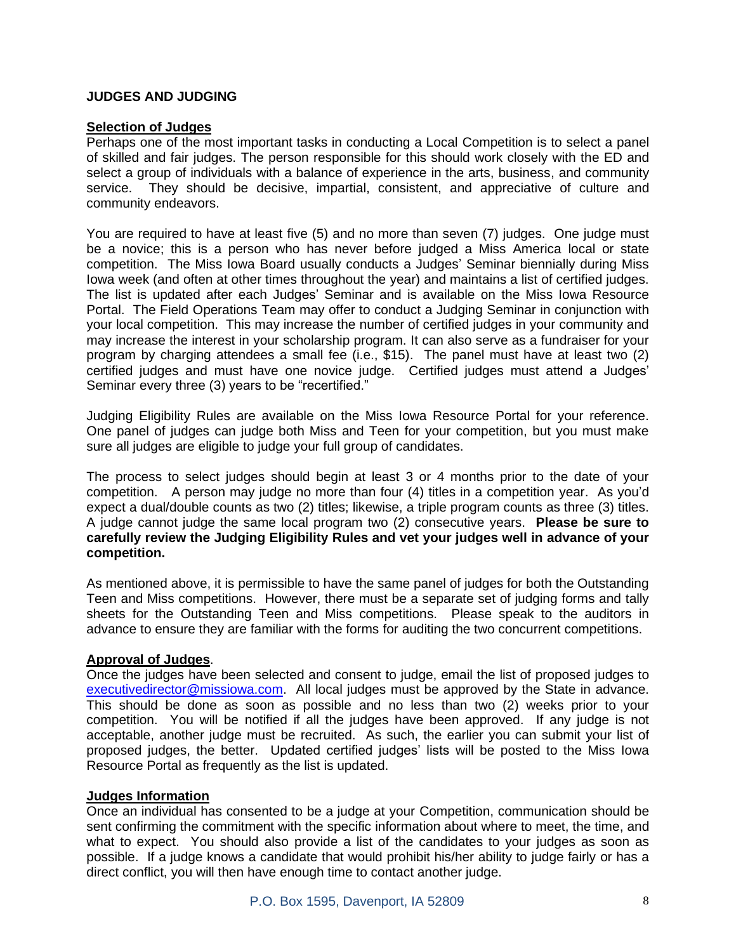# **JUDGES AND JUDGING**

#### **Selection of Judges**

Perhaps one of the most important tasks in conducting a Local Competition is to select a panel of skilled and fair judges. The person responsible for this should work closely with the ED and select a group of individuals with a balance of experience in the arts, business, and community service. They should be decisive, impartial, consistent, and appreciative of culture and community endeavors.

You are required to have at least five (5) and no more than seven (7) judges. One judge must be a novice; this is a person who has never before judged a Miss America local or state competition. The Miss Iowa Board usually conducts a Judges' Seminar biennially during Miss Iowa week (and often at other times throughout the year) and maintains a list of certified judges. The list is updated after each Judges' Seminar and is available on the Miss Iowa Resource Portal. The Field Operations Team may offer to conduct a Judging Seminar in conjunction with your local competition. This may increase the number of certified judges in your community and may increase the interest in your scholarship program. It can also serve as a fundraiser for your program by charging attendees a small fee (i.e., \$15). The panel must have at least two (2) certified judges and must have one novice judge. Certified judges must attend a Judges' Seminar every three (3) years to be "recertified."

Judging Eligibility Rules are available on the Miss Iowa Resource Portal for your reference. One panel of judges can judge both Miss and Teen for your competition, but you must make sure all judges are eligible to judge your full group of candidates.

The process to select judges should begin at least 3 or 4 months prior to the date of your competition. A person may judge no more than four (4) titles in a competition year. As you'd expect a dual/double counts as two (2) titles; likewise, a triple program counts as three (3) titles. A judge cannot judge the same local program two (2) consecutive years. **Please be sure to carefully review the Judging Eligibility Rules and vet your judges well in advance of your competition.**

As mentioned above, it is permissible to have the same panel of judges for both the Outstanding Teen and Miss competitions. However, there must be a separate set of judging forms and tally sheets for the Outstanding Teen and Miss competitions. Please speak to the auditors in advance to ensure they are familiar with the forms for auditing the two concurrent competitions.

# **Approval of Judges**.

Once the judges have been selected and consent to judge, email the list of proposed judges to [executivedirector@missiowa.com.](mailto:executivedirector@missiowa.com) All local judges must be approved by the State in advance. This should be done as soon as possible and no less than two (2) weeks prior to your competition. You will be notified if all the judges have been approved. If any judge is not acceptable, another judge must be recruited. As such, the earlier you can submit your list of proposed judges, the better. Updated certified judges' lists will be posted to the Miss Iowa Resource Portal as frequently as the list is updated.

# **Judges Information**

Once an individual has consented to be a judge at your Competition, communication should be sent confirming the commitment with the specific information about where to meet, the time, and what to expect. You should also provide a list of the candidates to your judges as soon as possible. If a judge knows a candidate that would prohibit his/her ability to judge fairly or has a direct conflict, you will then have enough time to contact another judge.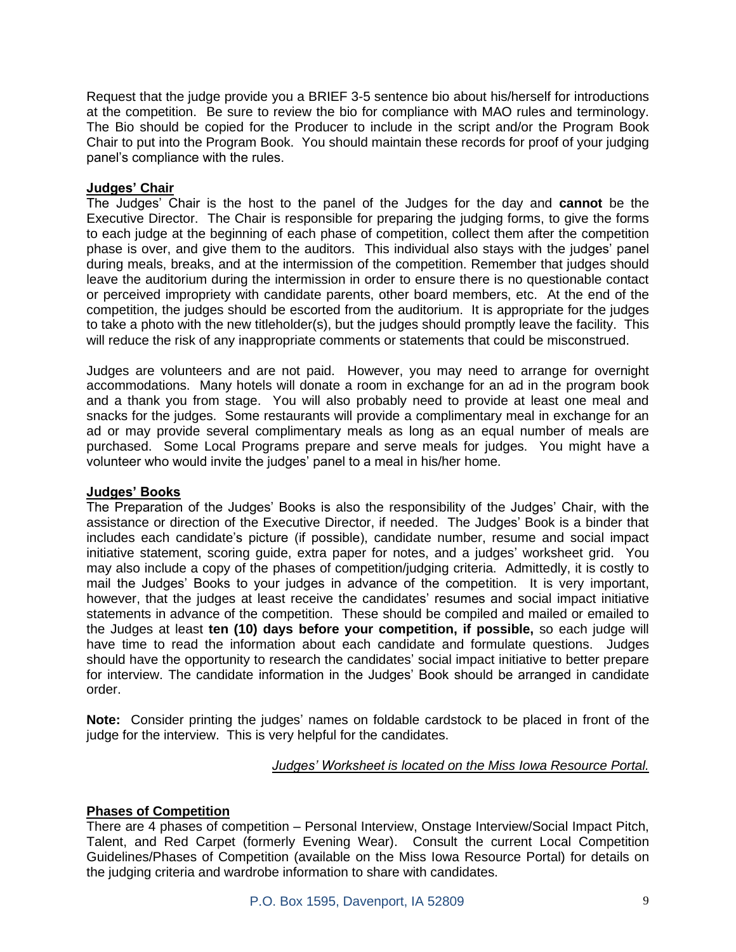Request that the judge provide you a BRIEF 3-5 sentence bio about his/herself for introductions at the competition. Be sure to review the bio for compliance with MAO rules and terminology. The Bio should be copied for the Producer to include in the script and/or the Program Book Chair to put into the Program Book. You should maintain these records for proof of your judging panel's compliance with the rules.

## **Judges' Chair**

The Judges' Chair is the host to the panel of the Judges for the day and **cannot** be the Executive Director. The Chair is responsible for preparing the judging forms, to give the forms to each judge at the beginning of each phase of competition, collect them after the competition phase is over, and give them to the auditors. This individual also stays with the judges' panel during meals, breaks, and at the intermission of the competition. Remember that judges should leave the auditorium during the intermission in order to ensure there is no questionable contact or perceived impropriety with candidate parents, other board members, etc. At the end of the competition, the judges should be escorted from the auditorium. It is appropriate for the judges to take a photo with the new titleholder(s), but the judges should promptly leave the facility. This will reduce the risk of any inappropriate comments or statements that could be misconstrued.

Judges are volunteers and are not paid. However, you may need to arrange for overnight accommodations. Many hotels will donate a room in exchange for an ad in the program book and a thank you from stage. You will also probably need to provide at least one meal and snacks for the judges. Some restaurants will provide a complimentary meal in exchange for an ad or may provide several complimentary meals as long as an equal number of meals are purchased. Some Local Programs prepare and serve meals for judges. You might have a volunteer who would invite the judges' panel to a meal in his/her home.

# **Judges' Books**

The Preparation of the Judges' Books is also the responsibility of the Judges' Chair, with the assistance or direction of the Executive Director, if needed. The Judges' Book is a binder that includes each candidate's picture (if possible), candidate number, resume and social impact initiative statement, scoring guide, extra paper for notes, and a judges' worksheet grid. You may also include a copy of the phases of competition/judging criteria. Admittedly, it is costly to mail the Judges' Books to your judges in advance of the competition. It is very important, however, that the judges at least receive the candidates' resumes and social impact initiative statements in advance of the competition. These should be compiled and mailed or emailed to the Judges at least **ten (10) days before your competition, if possible,** so each judge will have time to read the information about each candidate and formulate questions. Judges should have the opportunity to research the candidates' social impact initiative to better prepare for interview. The candidate information in the Judges' Book should be arranged in candidate order.

**Note:** Consider printing the judges' names on foldable cardstock to be placed in front of the judge for the interview. This is very helpful for the candidates.

# *Judges' Worksheet is located on the Miss Iowa Resource Portal.*

# **Phases of Competition**

There are 4 phases of competition – Personal Interview, Onstage Interview/Social Impact Pitch, Talent, and Red Carpet (formerly Evening Wear). Consult the current Local Competition Guidelines/Phases of Competition (available on the Miss Iowa Resource Portal) for details on the judging criteria and wardrobe information to share with candidates.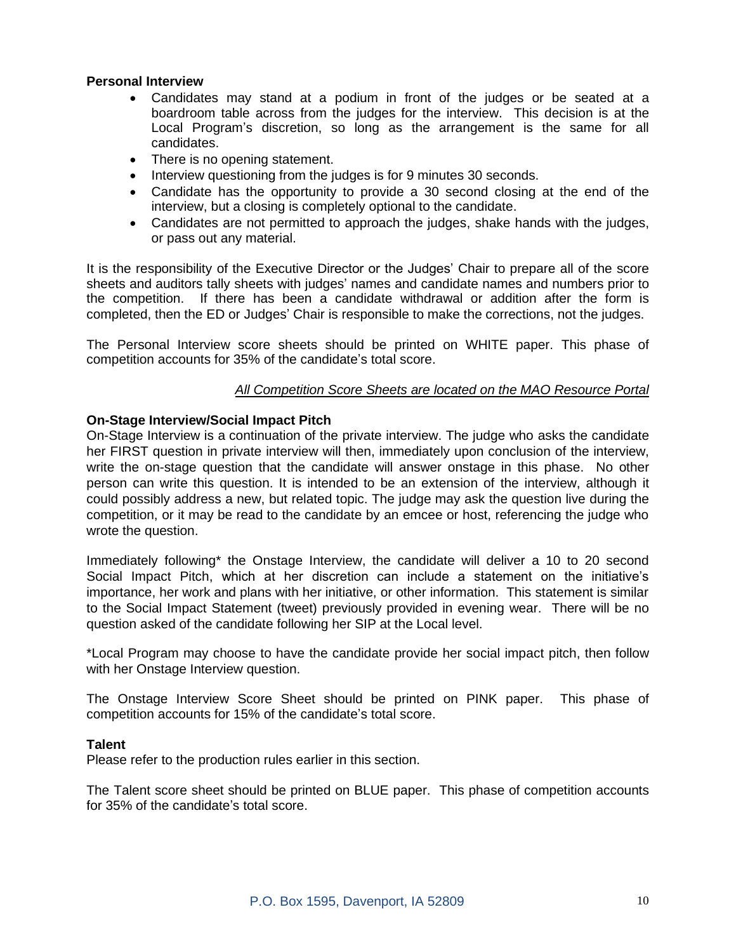## **Personal Interview**

- Candidates may stand at a podium in front of the judges or be seated at a boardroom table across from the judges for the interview. This decision is at the Local Program's discretion, so long as the arrangement is the same for all candidates.
- There is no opening statement.
- Interview questioning from the judges is for 9 minutes 30 seconds.
- Candidate has the opportunity to provide a 30 second closing at the end of the interview, but a closing is completely optional to the candidate.
- Candidates are not permitted to approach the judges, shake hands with the judges, or pass out any material.

It is the responsibility of the Executive Director or the Judges' Chair to prepare all of the score sheets and auditors tally sheets with judges' names and candidate names and numbers prior to the competition. If there has been a candidate withdrawal or addition after the form is completed, then the ED or Judges' Chair is responsible to make the corrections, not the judges.

The Personal Interview score sheets should be printed on WHITE paper. This phase of competition accounts for 35% of the candidate's total score.

## *All Competition Score Sheets are located on the MAO Resource Portal*

#### **On-Stage Interview/Social Impact Pitch**

On-Stage Interview is a continuation of the private interview. The judge who asks the candidate her FIRST question in private interview will then, immediately upon conclusion of the interview, write the on-stage question that the candidate will answer onstage in this phase. No other person can write this question. It is intended to be an extension of the interview, although it could possibly address a new, but related topic. The judge may ask the question live during the competition, or it may be read to the candidate by an emcee or host, referencing the judge who wrote the question.

Immediately following\* the Onstage Interview, the candidate will deliver a 10 to 20 second Social Impact Pitch, which at her discretion can include a statement on the initiative's importance, her work and plans with her initiative, or other information. This statement is similar to the Social Impact Statement (tweet) previously provided in evening wear. There will be no question asked of the candidate following her SIP at the Local level.

\*Local Program may choose to have the candidate provide her social impact pitch, then follow with her Onstage Interview question.

The Onstage Interview Score Sheet should be printed on PINK paper. This phase of competition accounts for 15% of the candidate's total score.

#### **Talent**

Please refer to the production rules earlier in this section.

The Talent score sheet should be printed on BLUE paper. This phase of competition accounts for 35% of the candidate's total score.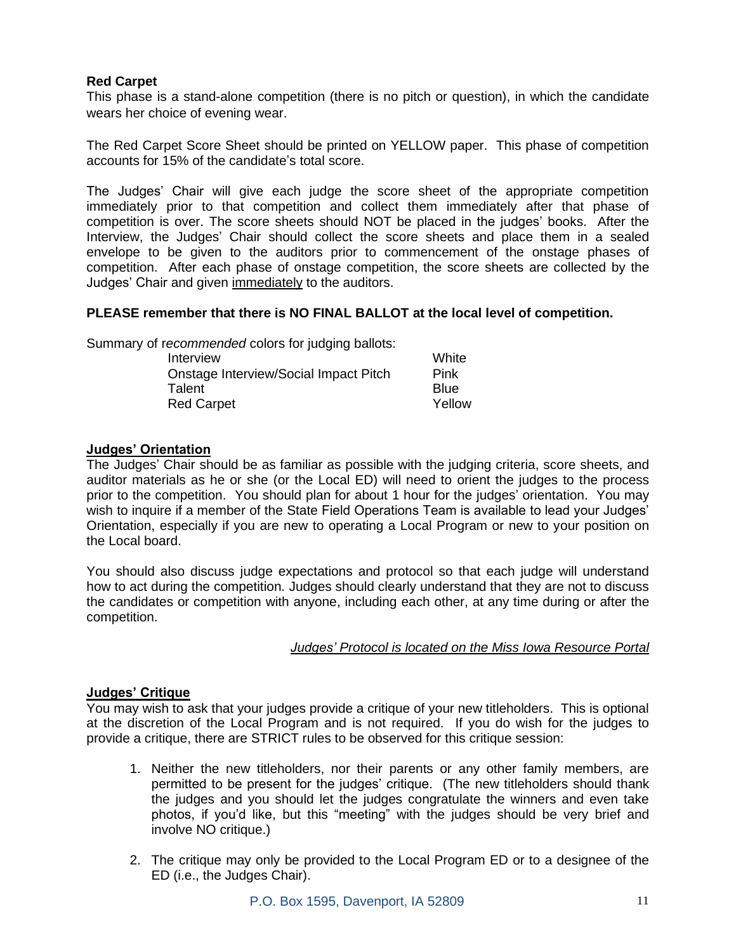# **Red Carpet**

This phase is a stand-alone competition (there is no pitch or question), in which the candidate wears her choice of evening wear.

The Red Carpet Score Sheet should be printed on YELLOW paper. This phase of competition accounts for 15% of the candidate's total score.

The Judges' Chair will give each judge the score sheet of the appropriate competition immediately prior to that competition and collect them immediately after that phase of competition is over. The score sheets should NOT be placed in the judges' books. After the Interview, the Judges' Chair should collect the score sheets and place them in a sealed envelope to be given to the auditors prior to commencement of the onstage phases of competition. After each phase of onstage competition, the score sheets are collected by the Judges' Chair and given immediately to the auditors.

## **PLEASE remember that there is NO FINAL BALLOT at the local level of competition.**

Summary of r*ecommended* colors for judging ballots:

| Interview                             | White  |
|---------------------------------------|--------|
| Onstage Interview/Social Impact Pitch | Pink   |
| Talent                                | Blue   |
| <b>Red Carpet</b>                     | Yellow |

# **Judges' Orientation**

The Judges' Chair should be as familiar as possible with the judging criteria, score sheets, and auditor materials as he or she (or the Local ED) will need to orient the judges to the process prior to the competition. You should plan for about 1 hour for the judges' orientation. You may wish to inquire if a member of the State Field Operations Team is available to lead your Judges' Orientation, especially if you are new to operating a Local Program or new to your position on the Local board.

You should also discuss judge expectations and protocol so that each judge will understand how to act during the competition. Judges should clearly understand that they are not to discuss the candidates or competition with anyone, including each other, at any time during or after the competition.

#### *Judges' Protocol is located on the Miss Iowa Resource Portal*

# **Judges' Critique**

You may wish to ask that your judges provide a critique of your new titleholders. This is optional at the discretion of the Local Program and is not required. If you do wish for the judges to provide a critique, there are STRICT rules to be observed for this critique session:

- 1. Neither the new titleholders, nor their parents or any other family members, are permitted to be present for the judges' critique. (The new titleholders should thank the judges and you should let the judges congratulate the winners and even take photos, if you'd like, but this "meeting" with the judges should be very brief and involve NO critique.)
- 2. The critique may only be provided to the Local Program ED or to a designee of the ED (i.e., the Judges Chair).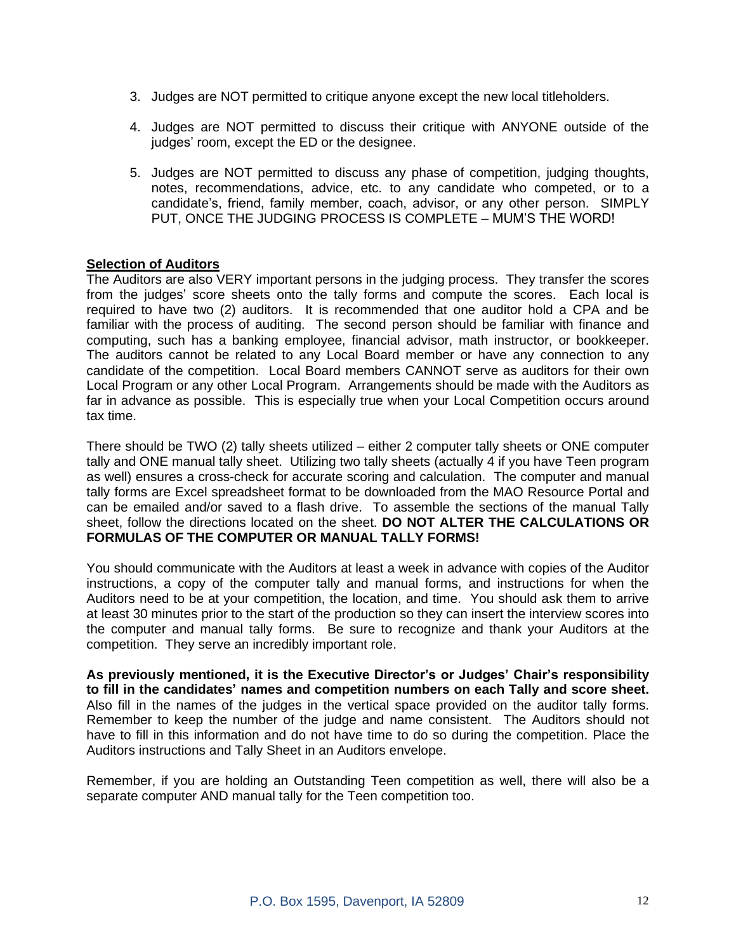- 3. Judges are NOT permitted to critique anyone except the new local titleholders.
- 4. Judges are NOT permitted to discuss their critique with ANYONE outside of the judges' room, except the ED or the designee.
- 5. Judges are NOT permitted to discuss any phase of competition, judging thoughts, notes, recommendations, advice, etc. to any candidate who competed, or to a candidate's, friend, family member, coach, advisor, or any other person. SIMPLY PUT, ONCE THE JUDGING PROCESS IS COMPLETE – MUM'S THE WORD!

## **Selection of Auditors**

The Auditors are also VERY important persons in the judging process. They transfer the scores from the judges' score sheets onto the tally forms and compute the scores. Each local is required to have two (2) auditors. It is recommended that one auditor hold a CPA and be familiar with the process of auditing. The second person should be familiar with finance and computing, such has a banking employee, financial advisor, math instructor, or bookkeeper. The auditors cannot be related to any Local Board member or have any connection to any candidate of the competition. Local Board members CANNOT serve as auditors for their own Local Program or any other Local Program. Arrangements should be made with the Auditors as far in advance as possible. This is especially true when your Local Competition occurs around tax time.

There should be TWO (2) tally sheets utilized – either 2 computer tally sheets or ONE computer tally and ONE manual tally sheet. Utilizing two tally sheets (actually 4 if you have Teen program as well) ensures a cross-check for accurate scoring and calculation. The computer and manual tally forms are Excel spreadsheet format to be downloaded from the MAO Resource Portal and can be emailed and/or saved to a flash drive. To assemble the sections of the manual Tally sheet, follow the directions located on the sheet. **DO NOT ALTER THE CALCULATIONS OR FORMULAS OF THE COMPUTER OR MANUAL TALLY FORMS!**

You should communicate with the Auditors at least a week in advance with copies of the Auditor instructions, a copy of the computer tally and manual forms, and instructions for when the Auditors need to be at your competition, the location, and time. You should ask them to arrive at least 30 minutes prior to the start of the production so they can insert the interview scores into the computer and manual tally forms. Be sure to recognize and thank your Auditors at the competition. They serve an incredibly important role.

**As previously mentioned, it is the Executive Director's or Judges' Chair's responsibility to fill in the candidates' names and competition numbers on each Tally and score sheet.** Also fill in the names of the judges in the vertical space provided on the auditor tally forms. Remember to keep the number of the judge and name consistent. The Auditors should not have to fill in this information and do not have time to do so during the competition. Place the Auditors instructions and Tally Sheet in an Auditors envelope.

Remember, if you are holding an Outstanding Teen competition as well, there will also be a separate computer AND manual tally for the Teen competition too.